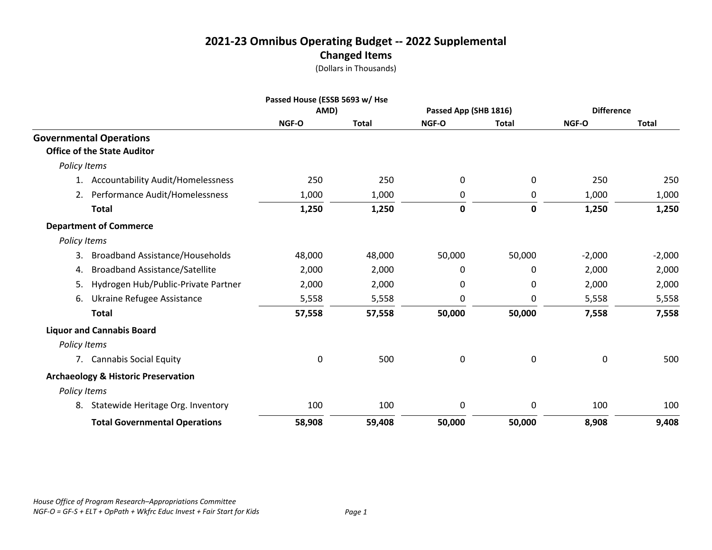## **2021-23 Omnibus Operating Budget -- 2022 Supplemental Changed Items**

(Dollars in Thousands)

|              |                                                                      | Passed House (ESSB 5693 w/ Hse |              |                       |              |              |                   |  |
|--------------|----------------------------------------------------------------------|--------------------------------|--------------|-----------------------|--------------|--------------|-------------------|--|
|              |                                                                      | AMD)                           |              | Passed App (SHB 1816) |              |              | <b>Difference</b> |  |
|              |                                                                      | <b>NGF-O</b>                   | <b>Total</b> | <b>NGF-O</b>          | <b>Total</b> | <b>NGF-O</b> | <b>Total</b>      |  |
|              | <b>Governmental Operations</b><br><b>Office of the State Auditor</b> |                                |              |                       |              |              |                   |  |
| Policy Items |                                                                      |                                |              |                       |              |              |                   |  |
|              | 1. Accountability Audit/Homelessness                                 | 250                            | 250          | $\mathbf{0}$          | $\mathbf{0}$ | 250          | 250               |  |
| 2.           | Performance Audit/Homelessness                                       | 1,000                          | 1,000        | 0                     | 0            | 1,000        | 1,000             |  |
|              | <b>Total</b>                                                         | 1,250                          | 1,250        | 0                     | 0            | 1,250        | 1,250             |  |
|              | <b>Department of Commerce</b>                                        |                                |              |                       |              |              |                   |  |
| Policy Items |                                                                      |                                |              |                       |              |              |                   |  |
|              | 3. Broadband Assistance/Households                                   | 48,000                         | 48,000       | 50,000                | 50,000       | $-2,000$     | $-2,000$          |  |
| 4.           | <b>Broadband Assistance/Satellite</b>                                | 2,000                          | 2,000        | 0                     | 0            | 2,000        | 2,000             |  |
| 5.           | Hydrogen Hub/Public-Private Partner                                  | 2,000                          | 2,000        | 0                     | 0            | 2,000        | 2,000             |  |
| 6.           | Ukraine Refugee Assistance                                           | 5,558                          | 5,558        | 0                     | 0            | 5,558        | 5,558             |  |
|              | <b>Total</b>                                                         | 57,558                         | 57,558       | 50,000                | 50,000       | 7,558        | 7,558             |  |
|              | <b>Liquor and Cannabis Board</b>                                     |                                |              |                       |              |              |                   |  |
| Policy Items |                                                                      |                                |              |                       |              |              |                   |  |
|              | 7. Cannabis Social Equity                                            | $\pmb{0}$                      | 500          | 0                     | 0            | 0            | 500               |  |
|              | <b>Archaeology &amp; Historic Preservation</b>                       |                                |              |                       |              |              |                   |  |
| Policy Items |                                                                      |                                |              |                       |              |              |                   |  |
| 8.           | Statewide Heritage Org. Inventory                                    | 100                            | 100          | 0                     | 0            | 100          | 100               |  |
|              | <b>Total Governmental Operations</b>                                 | 58,908                         | 59,408       | 50,000                | 50,000       | 8,908        | 9,408             |  |

*House Office of Program Research–Appropriations Committee NGF-O = GF-S + ELT + OpPath + Wkfrc Educ Invest + Fair Start for Kids Page 1*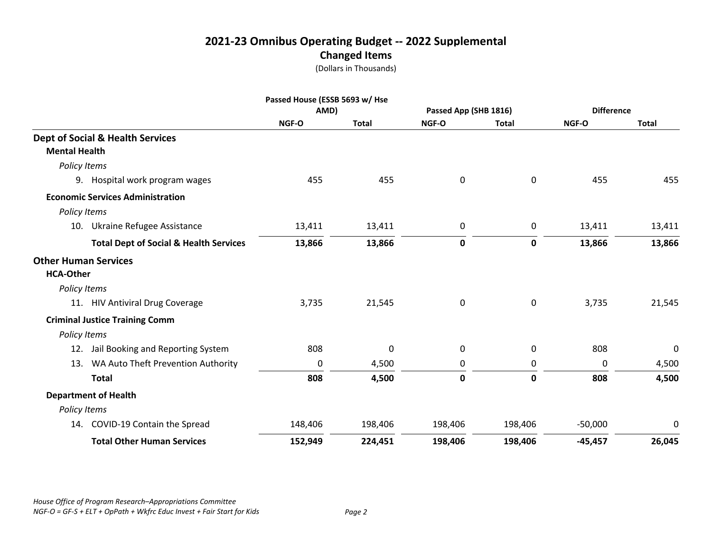## **2021-23 Omnibus Operating Budget -- 2022 Supplemental Changed Items**

(Dollars in Thousands)

|                             |                                                   | Passed House (ESSB 5693 w/ Hse |              |                       |              |                   |              |  |
|-----------------------------|---------------------------------------------------|--------------------------------|--------------|-----------------------|--------------|-------------------|--------------|--|
|                             |                                                   | AMD)                           |              | Passed App (SHB 1816) |              | <b>Difference</b> |              |  |
|                             |                                                   | NGF-O                          | <b>Total</b> | NGF-O                 | <b>Total</b> | <b>NGF-O</b>      | <b>Total</b> |  |
| <b>Mental Health</b>        | <b>Dept of Social &amp; Health Services</b>       |                                |              |                       |              |                   |              |  |
| Policy Items                |                                                   |                                |              |                       |              |                   |              |  |
|                             | 9. Hospital work program wages                    | 455                            | 455          | 0                     | 0            | 455               | 455          |  |
|                             | <b>Economic Services Administration</b>           |                                |              |                       |              |                   |              |  |
| Policy Items                |                                                   |                                |              |                       |              |                   |              |  |
|                             | 10. Ukraine Refugee Assistance                    | 13,411                         | 13,411       | 0                     | $\mathbf 0$  | 13,411            | 13,411       |  |
|                             | <b>Total Dept of Social &amp; Health Services</b> | 13,866                         | 13,866       | $\mathbf 0$           | 0            | 13,866            | 13,866       |  |
| <b>Other Human Services</b> |                                                   |                                |              |                       |              |                   |              |  |
| <b>HCA-Other</b>            |                                                   |                                |              |                       |              |                   |              |  |
| Policy Items                |                                                   |                                |              |                       |              |                   |              |  |
|                             | 11. HIV Antiviral Drug Coverage                   | 3,735                          | 21,545       | 0                     | 0            | 3,735             | 21,545       |  |
|                             | <b>Criminal Justice Training Comm</b>             |                                |              |                       |              |                   |              |  |
| Policy Items                |                                                   |                                |              |                       |              |                   |              |  |
|                             | 12. Jail Booking and Reporting System             | 808                            | 0            | 0                     | 0            | 808               | $\mathbf 0$  |  |
|                             | 13. WA Auto Theft Prevention Authority            | 0                              | 4,500        | 0                     | 0            | 0                 | 4,500        |  |
|                             | <b>Total</b>                                      | 808                            | 4,500        | $\mathbf 0$           | $\mathbf 0$  | 808               | 4,500        |  |
|                             | <b>Department of Health</b>                       |                                |              |                       |              |                   |              |  |
| Policy Items                |                                                   |                                |              |                       |              |                   |              |  |
| 14.                         | COVID-19 Contain the Spread                       | 148,406                        | 198,406      | 198,406               | 198,406      | $-50,000$         | 0            |  |
|                             | <b>Total Other Human Services</b>                 | 152,949                        | 224,451      | 198,406               | 198,406      | $-45,457$         | 26,045       |  |